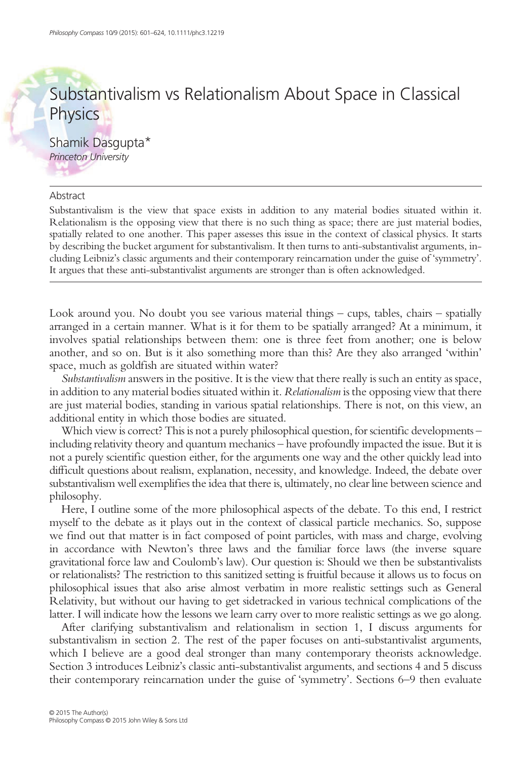# Substantivalism vs Relationalism About Space in Classical **Physics**

Shamik Dasgupta\* Princeton University

## Abstract

Substantivalism is the view that space exists in addition to any material bodies situated within it. Relationalism is the opposing view that there is no such thing as space; there are just material bodies, spatially related to one another. This paper assesses this issue in the context of classical physics. It starts by describing the bucket argument for substantivalism. It then turns to anti-substantivalist arguments, including Leibniz's classic arguments and their contemporary reincarnation under the guise of 'symmetry'. It argues that these anti-substantivalist arguments are stronger than is often acknowledged.

Look around you. No doubt you see various material things – cups, tables, chairs – spatially arranged in a certain manner. What is it for them to be spatially arranged? At a minimum, it involves spatial relationships between them: one is three feet from another; one is below another, and so on. But is it also something more than this? Are they also arranged 'within' space, much as goldfish are situated within water?

Substantivalism answers in the positive. It is the view that there really is such an entity as space, in addition to any material bodies situated within it. *Relationalism* is the opposing view that there are just material bodies, standing in various spatial relationships. There is not, on this view, an additional entity in which those bodies are situated.

Which view is correct? This is not a purely philosophical question, for scientific developments – including relativity theory and quantum mechanics – have profoundly impacted the issue. But it is not a purely scientific question either, for the arguments one way and the other quickly lead into difficult questions about realism, explanation, necessity, and knowledge. Indeed, the debate over substantivalism well exemplifies the idea that there is, ultimately, no clear line between science and philosophy.

Here, I outline some of the more philosophical aspects of the debate. To this end, I restrict myself to the debate as it plays out in the context of classical particle mechanics. So, suppose we find out that matter is in fact composed of point particles, with mass and charge, evolving in accordance with Newton's three laws and the familiar force laws (the inverse square gravitational force law and Coulomb's law). Our question is: Should we then be substantivalists or relationalists? The restriction to this sanitized setting is fruitful because it allows us to focus on philosophical issues that also arise almost verbatim in more realistic settings such as General Relativity, but without our having to get sidetracked in various technical complications of the latter. I will indicate how the lessons we learn carry over to more realistic settings as we go along.

After clarifying substantivalism and relationalism in section 1, I discuss arguments for substantivalism in section 2. The rest of the paper focuses on anti-substantivalist arguments, which I believe are a good deal stronger than many contemporary theorists acknowledge. Section 3 introduces Leibniz's classic anti-substantivalist arguments, and sections 4 and 5 discuss their contemporary reincarnation under the guise of 'symmetry'. Sections 6–9 then evaluate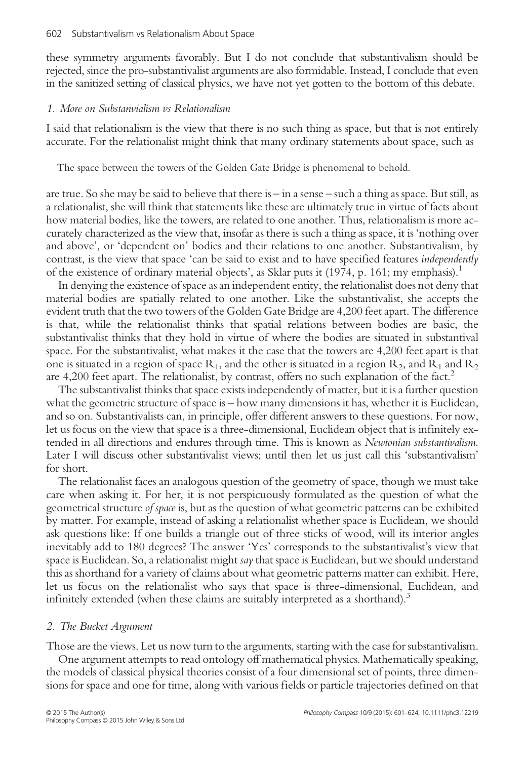these symmetry arguments favorably. But I do not conclude that substantivalism should be rejected, since the pro-substantivalist arguments are also formidable. Instead, I conclude that even in the sanitized setting of classical physics, we have not yet gotten to the bottom of this debate.

## 1. More on Substanvialism vs Relationalism

I said that relationalism is the view that there is no such thing as space, but that is not entirely accurate. For the relationalist might think that many ordinary statements about space, such as

The space between the towers of the Golden Gate Bridge is phenomenal to behold.

are true. So she may be said to believe that there is – in a sense – such a thing as space. But still, as a relationalist, she will think that statements like these are ultimately true in virtue of facts about how material bodies, like the towers, are related to one another. Thus, relationalism is more accurately characterized as the view that, insofar as there is such a thing as space, it is 'nothing over and above', or 'dependent on' bodies and their relations to one another. Substantivalism, by contrast, is the view that space 'can be said to exist and to have specified features independently of the existence of ordinary material objects', as Sklar puts it (1974, p. 161; my emphasis).<sup>1</sup>

In denying the existence of space as an independent entity, the relationalist does not deny that material bodies are spatially related to one another. Like the substantivalist, she accepts the evident truth that the two towers of the Golden Gate Bridge are 4,200 feet apart. The difference is that, while the relationalist thinks that spatial relations between bodies are basic, the substantivalist thinks that they hold in virtue of where the bodies are situated in substantival space. For the substantivalist, what makes it the case that the towers are 4,200 feet apart is that one is situated in a region of space  $R_1$ , and the other is situated in a region  $R_2$ , and  $R_1$  and  $R_2$ are 4,200 feet apart. The relationalist, by contrast, offers no such explanation of the fact.<sup>2</sup>

The substantivalist thinks that space exists independently of matter, but it is a further question what the geometric structure of space is – how many dimensions it has, whether it is Euclidean, and so on. Substantivalists can, in principle, offer different answers to these questions. For now, let us focus on the view that space is a three-dimensional, Euclidean object that is infinitely extended in all directions and endures through time. This is known as Newtonian substantivalism. Later I will discuss other substantivalist views; until then let us just call this 'substantivalism' for short.

The relationalist faces an analogous question of the geometry of space, though we must take care when asking it. For her, it is not perspicuously formulated as the question of what the geometrical structure of space is, but as the question of what geometric patterns can be exhibited by matter. For example, instead of asking a relationalist whether space is Euclidean, we should ask questions like: If one builds a triangle out of three sticks of wood, will its interior angles inevitably add to 180 degrees? The answer 'Yes' corresponds to the substantivalist's view that space is Euclidean. So, a relationalist might say that space is Euclidean, but we should understand this as shorthand for a variety of claims about what geometric patterns matter can exhibit. Here, let us focus on the relationalist who says that space is three-dimensional, Euclidean, and infinitely extended (when these claims are suitably interpreted as a shorthand).<sup>3</sup>

## 2. The Bucket Argument

Those are the views. Let us now turn to the arguments, starting with the case for substantivalism.

One argument attempts to read ontology off mathematical physics. Mathematically speaking, the models of classical physical theories consist of a four dimensional set of points, three dimensions for space and one for time, along with various fields or particle trajectories defined on that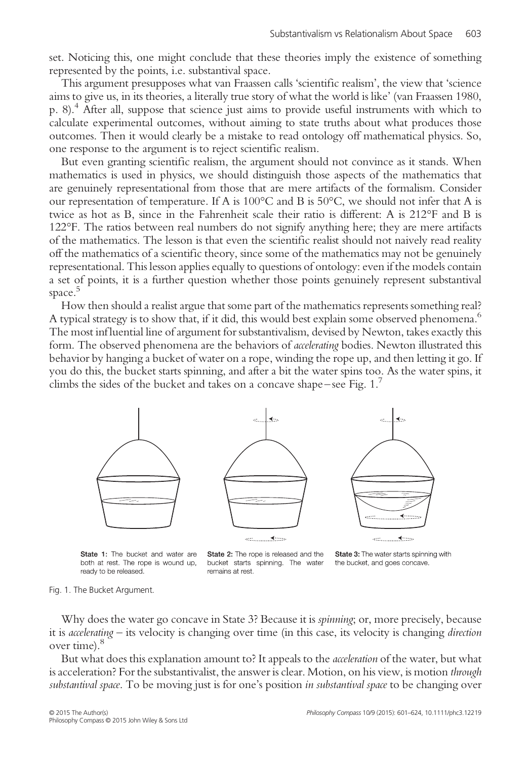set. Noticing this, one might conclude that these theories imply the existence of something represented by the points, i.e. substantival space.

This argument presupposes what van Fraassen calls 'scientific realism', the view that 'science aims to give us, in its theories, a literally true story of what the world is like' (van Fraassen 1980, p. 8).4 After all, suppose that science just aims to provide useful instruments with which to calculate experimental outcomes, without aiming to state truths about what produces those outcomes. Then it would clearly be a mistake to read ontology off mathematical physics. So, one response to the argument is to reject scientific realism.

But even granting scientific realism, the argument should not convince as it stands. When mathematics is used in physics, we should distinguish those aspects of the mathematics that are genuinely representational from those that are mere artifacts of the formalism. Consider our representation of temperature. If A is  $100^{\circ}$ C and B is  $50^{\circ}$ C, we should not infer that A is twice as hot as B, since in the Fahrenheit scale their ratio is different: A is 212°F and B is 122°F. The ratios between real numbers do not signify anything here; they are mere artifacts of the mathematics. The lesson is that even the scientific realist should not naively read reality off the mathematics of a scientific theory, since some of the mathematics may not be genuinely representational. This lesson applies equally to questions of ontology: even if the models contain a set of points, it is a further question whether those points genuinely represent substantival space.<sup>5</sup>

How then should a realist argue that some part of the mathematics represents something real? A typical strategy is to show that, if it did, this would best explain some observed phenomena.<sup>6</sup> The most influential line of argument for substantivalism, devised by Newton, takes exactly this form. The observed phenomena are the behaviors of accelerating bodies. Newton illustrated this behavior by hanging a bucket of water on a rope, winding the rope up, and then letting it go. If you do this, the bucket starts spinning, and after a bit the water spins too. As the water spins, it climbs the sides of the bucket and takes on a concave shape–see Fig.  $1.'$ 



State 1: The bucket and water are both at rest. The rope is wound up, ready to be released.

State 2: The rope is released and the bucket starts spinning. The water remains at rest.

State 3: The water starts spinning with the bucket, and goes concave.

Fig. 1. The Bucket Argument.

Why does the water go concave in State 3? Because it is *spinning*; or, more precisely, because it is accelerating – its velocity is changing over time (in this case, its velocity is changing direction over time).<sup>8</sup>

But what does this explanation amount to? It appeals to the *acceleration* of the water, but what is acceleration? For the substantivalist, the answer is clear. Motion, on his view, is motion through substantival space. To be moving just is for one's position in substantival space to be changing over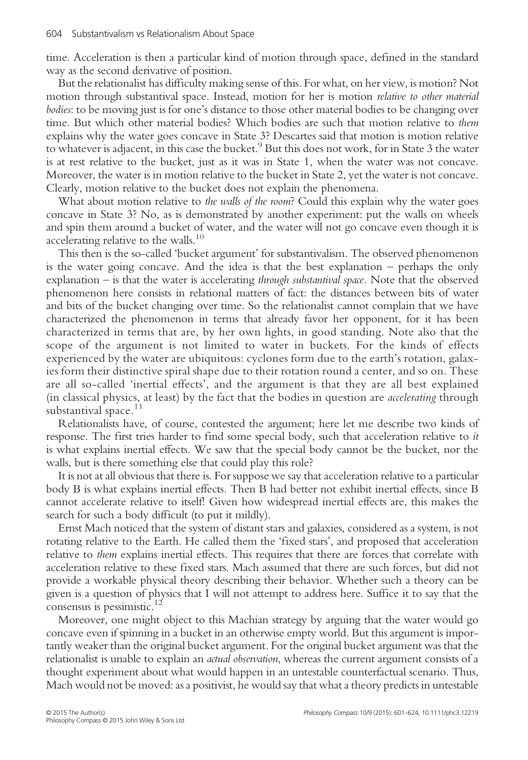time. Acceleration is then a particular kind of motion through space, defined in the standard way as the second derivative of position.

But the relationalist has difficulty making sense of this. For what, on her view, is motion? Not motion through substantival space. Instead, motion for her is motion relative to other material bodies: to be moving just is for one's distance to those other material bodies to be changing over time. But which other material bodies? Which bodies are such that motion relative to them explains why the water goes concave in State 3? Descartes said that motion is motion relative to whatever is adjacent, in this case the bucket.<sup>9</sup> But this does not work, for in State 3 the water is at rest relative to the bucket, just as it was in State 1, when the water was not concave. Moreover, the water is in motion relative to the bucket in State 2, yet the water is not concave. Clearly, motion relative to the bucket does not explain the phenomena.

What about motion relative to *the walls of the room*? Could this explain why the water goes concave in State 3? No, as is demonstrated by another experiment: put the walls on wheels and spin them around a bucket of water, and the water will not go concave even though it is accelerating relative to the walls.<sup>10</sup>

This then is the so-called 'bucket argument' for substantivalism. The observed phenomenon is the water going concave. And the idea is that the best explanation – perhaps the only explanation – is that the water is accelerating through substantival space. Note that the observed phenomenon here consists in relational matters of fact: the distances between bits of water and bits of the bucket changing over time. So the relationalist cannot complain that we have characterized the phenomenon in terms that already favor her opponent, for it has been characterized in terms that are, by her own lights, in good standing. Note also that the scope of the argument is not limited to water in buckets. For the kinds of effects experienced by the water are ubiquitous: cyclones form due to the earth's rotation, galaxies form their distinctive spiral shape due to their rotation round a center, and so on. These are all so-called 'inertial effects', and the argument is that they are all best explained (in classical physics, at least) by the fact that the bodies in question are accelerating through substantival space. $11$ 

Relationalists have, of course, contested the argument; here let me describe two kinds of response. The first tries harder to find some special body, such that acceleration relative to it is what explains inertial effects. We saw that the special body cannot be the bucket, nor the walls, but is there something else that could play this role?

It is not at all obvious that there is. For suppose we say that acceleration relative to a particular body B is what explains inertial effects. Then B had better not exhibit inertial effects, since B cannot accelerate relative to itself! Given how widespread inertial effects are, this makes the search for such a body difficult (to put it mildly).

Ernst Mach noticed that the system of distant stars and galaxies, considered as a system, is not rotating relative to the Earth. He called them the 'fixed stars', and proposed that acceleration relative to them explains inertial effects. This requires that there are forces that correlate with acceleration relative to these fixed stars. Mach assumed that there are such forces, but did not provide a workable physical theory describing their behavior. Whether such a theory can be given is a question of physics that I will not attempt to address here. Suffice it to say that the consensus is pessimistic.<sup>12</sup>

Moreover, one might object to this Machian strategy by arguing that the water would go concave even if spinning in a bucket in an otherwise empty world. But this argument is importantly weaker than the original bucket argument. For the original bucket argument was that the relationalist is unable to explain an actual observation, whereas the current argument consists of a thought experiment about what would happen in an untestable counterfactual scenario. Thus, Mach would not be moved: as a positivist, he would say that what a theory predicts in untestable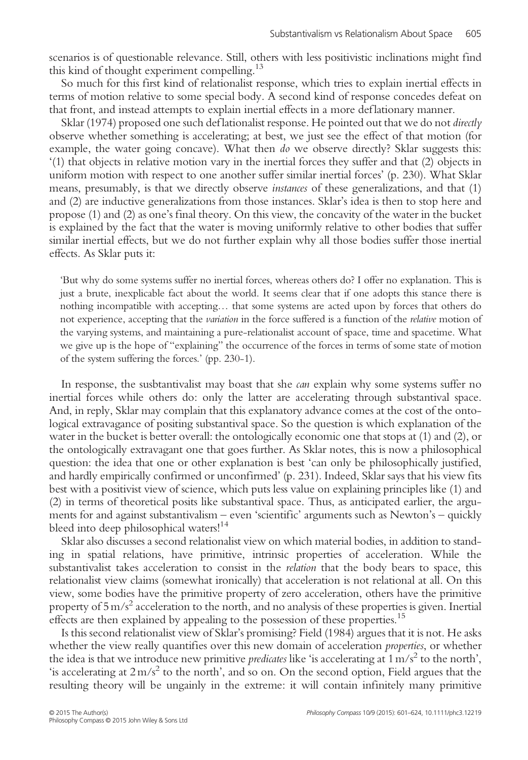scenarios is of questionable relevance. Still, others with less positivistic inclinations might find this kind of thought experiment compelling.<sup>13</sup>

So much for this first kind of relationalist response, which tries to explain inertial effects in terms of motion relative to some special body. A second kind of response concedes defeat on that front, and instead attempts to explain inertial effects in a more def lationary manner.

Sklar (1974) proposed one such deflationalist response. He pointed out that we do not directly observe whether something is accelerating; at best, we just see the effect of that motion (for example, the water going concave). What then do we observe directly? Sklar suggests this: '(1) that objects in relative motion vary in the inertial forces they suffer and that (2) objects in uniform motion with respect to one another suffer similar inertial forces' (p. 230). What Sklar means, presumably, is that we directly observe instances of these generalizations, and that (1) and (2) are inductive generalizations from those instances. Sklar's idea is then to stop here and propose (1) and (2) as one's final theory. On this view, the concavity of the water in the bucket is explained by the fact that the water is moving uniformly relative to other bodies that suffer similar inertial effects, but we do not further explain why all those bodies suffer those inertial effects. As Sklar puts it:

'But why do some systems suffer no inertial forces, whereas others do? I offer no explanation. This is just a brute, inexplicable fact about the world. It seems clear that if one adopts this stance there is nothing incompatible with accepting… that some systems are acted upon by forces that others do not experience, accepting that the variation in the force suffered is a function of the relative motion of the varying systems, and maintaining a pure-relationalist account of space, time and spacetime. What we give up is the hope of "explaining" the occurrence of the forces in terms of some state of motion of the system suffering the forces.' (pp. 230-1).

In response, the susbtantivalist may boast that she *can* explain why some systems suffer no inertial forces while others do: only the latter are accelerating through substantival space. And, in reply, Sklar may complain that this explanatory advance comes at the cost of the ontological extravagance of positing substantival space. So the question is which explanation of the water in the bucket is better overall: the ontologically economic one that stops at (1) and (2), or the ontologically extravagant one that goes further. As Sklar notes, this is now a philosophical question: the idea that one or other explanation is best 'can only be philosophically justified, and hardly empirically confirmed or unconfirmed' (p. 231). Indeed, Sklar says that his view fits best with a positivist view of science, which puts less value on explaining principles like (1) and (2) in terms of theoretical posits like substantival space. Thus, as anticipated earlier, the arguments for and against substantivalism – even 'scientific' arguments such as Newton's – quickly bleed into deep philosophical waters!<sup>14</sup>

Sklar also discusses a second relationalist view on which material bodies, in addition to standing in spatial relations, have primitive, intrinsic properties of acceleration. While the substantivalist takes acceleration to consist in the relation that the body bears to space, this relationalist view claims (somewhat ironically) that acceleration is not relational at all. On this view, some bodies have the primitive property of zero acceleration, others have the primitive property of  $5 \text{ m/s}^2$  acceleration to the north, and no analysis of these properties is given. Inertial effects are then explained by appealing to the possession of these properties.<sup>15</sup>

Is this second relationalist view of Sklar's promising? Field (1984) argues that it is not. He asks whether the view really quantifies over this new domain of acceleration *properties*, or whether the idea is that we introduce new primitive *predicates* like 'is accelerating at  $1 \text{ m/s}^2$  to the north', 'is accelerating at  $2 \text{ m/s}^2$  to the north', and so on. On the second option, Field argues that the resulting theory will be ungainly in the extreme: it will contain infinitely many primitive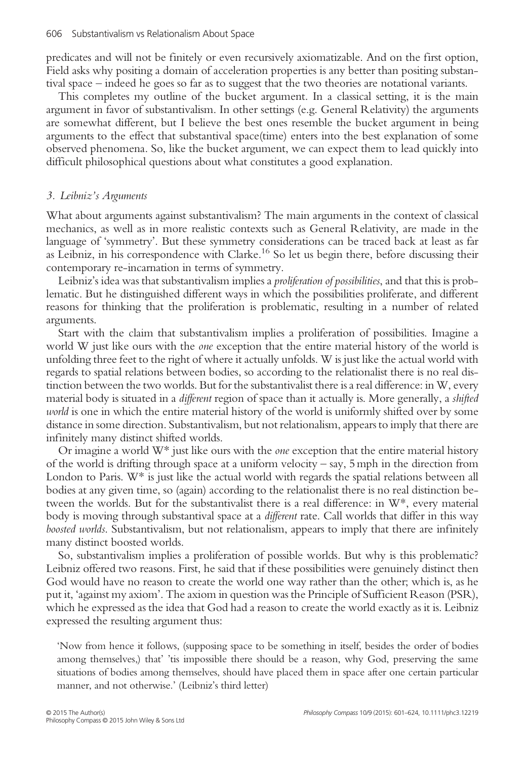predicates and will not be finitely or even recursively axiomatizable. And on the first option, Field asks why positing a domain of acceleration properties is any better than positing substantival space – indeed he goes so far as to suggest that the two theories are notational variants.

This completes my outline of the bucket argument. In a classical setting, it is the main argument in favor of substantivalism. In other settings (e.g. General Relativity) the arguments are somewhat different, but I believe the best ones resemble the bucket argument in being arguments to the effect that substantival space(time) enters into the best explanation of some observed phenomena. So, like the bucket argument, we can expect them to lead quickly into difficult philosophical questions about what constitutes a good explanation.

## 3. Leibniz's Arguments

What about arguments against substantivalism? The main arguments in the context of classical mechanics, as well as in more realistic contexts such as General Relativity, are made in the language of 'symmetry'. But these symmetry considerations can be traced back at least as far as Leibniz, in his correspondence with Clarke.<sup>16</sup> So let us begin there, before discussing their contemporary re-incarnation in terms of symmetry.

Leibniz's idea was that substantivalism implies a proliferation of possibilities, and that this is problematic. But he distinguished different ways in which the possibilities proliferate, and different reasons for thinking that the proliferation is problematic, resulting in a number of related arguments.

Start with the claim that substantivalism implies a proliferation of possibilities. Imagine a world W just like ours with the *one* exception that the entire material history of the world is unfolding three feet to the right of where it actually unfolds. W is just like the actual world with regards to spatial relations between bodies, so according to the relationalist there is no real distinction between the two worlds. But for the substantivalist there is a real difference: in W, every material body is situated in a *different* region of space than it actually is. More generally, a *shifted* world is one in which the entire material history of the world is uniformly shifted over by some distance in some direction. Substantivalism, but not relationalism, appears to imply that there are infinitely many distinct shifted worlds.

Or imagine a world  $W^*$  just like ours with the *one* exception that the entire material history of the world is drifting through space at a uniform velocity – say, 5mph in the direction from London to Paris. W\* is just like the actual world with regards the spatial relations between all bodies at any given time, so (again) according to the relationalist there is no real distinction between the worlds. But for the substantivalist there is a real difference: in W\*, every material body is moving through substantival space at a different rate. Call worlds that differ in this way boosted worlds. Substantivalism, but not relationalism, appears to imply that there are infinitely many distinct boosted worlds.

So, substantivalism implies a proliferation of possible worlds. But why is this problematic? Leibniz offered two reasons. First, he said that if these possibilities were genuinely distinct then God would have no reason to create the world one way rather than the other; which is, as he put it, 'against my axiom'. The axiom in question was the Principle of Sufficient Reason (PSR), which he expressed as the idea that God had a reason to create the world exactly as it is. Leibniz expressed the resulting argument thus:

'Now from hence it follows, (supposing space to be something in itself, besides the order of bodies among themselves,) that' 'tis impossible there should be a reason, why God, preserving the same situations of bodies among themselves, should have placed them in space after one certain particular manner, and not otherwise.' (Leibniz's third letter)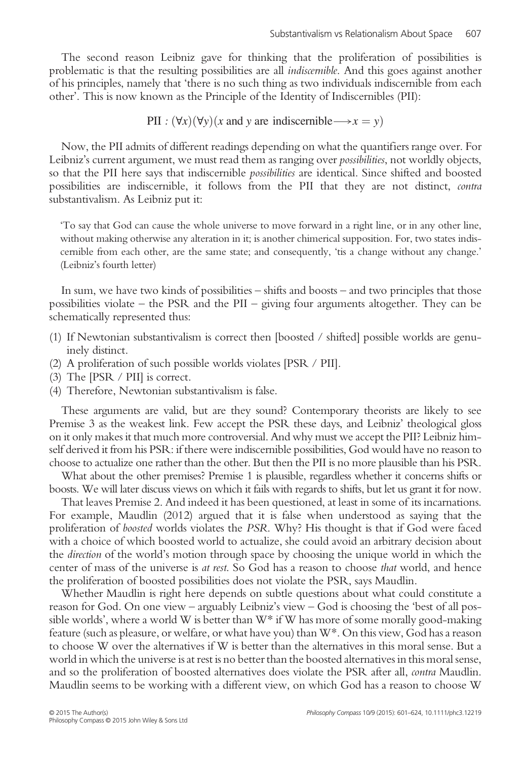The second reason Leibniz gave for thinking that the proliferation of possibilities is problematic is that the resulting possibilities are all indiscernible. And this goes against another of his principles, namely that 'there is no such thing as two individuals indiscernible from each other'. This is now known as the Principle of the Identity of Indiscernibles (PII):

PII :  $(\forall x)(\forall y)(x$  and y are indiscernible  $\longrightarrow x = y$ )

Now, the PII admits of different readings depending on what the quantifiers range over. For Leibniz's current argument, we must read them as ranging over possibilities, not worldly objects, so that the PII here says that indiscernible possibilities are identical. Since shifted and boosted possibilities are indiscernible, it follows from the PII that they are not distinct, contra substantivalism. As Leibniz put it:

'To say that God can cause the whole universe to move forward in a right line, or in any other line, without making otherwise any alteration in it; is another chimerical supposition. For, two states indiscernible from each other, are the same state; and consequently, 'tis a change without any change.' (Leibniz's fourth letter)

In sum, we have two kinds of possibilities – shifts and boosts – and two principles that those possibilities violate – the PSR and the PII – giving four arguments altogether. They can be schematically represented thus:

- (1) If Newtonian substantivalism is correct then [boosted / shifted] possible worlds are genuinely distinct.
- (2) A proliferation of such possible worlds violates [PSR / PII].
- (3) The [PSR / PII] is correct.
- (4) Therefore, Newtonian substantivalism is false.

These arguments are valid, but are they sound? Contemporary theorists are likely to see Premise 3 as the weakest link. Few accept the PSR these days, and Leibniz' theological gloss on it only makes it that much more controversial. And why must we accept the PII? Leibniz himself derived it from his PSR: if there were indiscernible possibilities, God would have no reason to choose to actualize one rather than the other. But then the PII is no more plausible than his PSR.

What about the other premises? Premise 1 is plausible, regardless whether it concerns shifts or boosts. We will later discuss views on which it fails with regards to shifts, but let us grant it for now.

That leaves Premise 2. And indeed it has been questioned, at least in some of its incarnations. For example, Maudlin (2012) argued that it is false when understood as saying that the proliferation of boosted worlds violates the PSR. Why? His thought is that if God were faced with a choice of which boosted world to actualize, she could avoid an arbitrary decision about the direction of the world's motion through space by choosing the unique world in which the center of mass of the universe is at rest. So God has a reason to choose that world, and hence the proliferation of boosted possibilities does not violate the PSR, says Maudlin.

Whether Maudlin is right here depends on subtle questions about what could constitute a reason for God. On one view – arguably Leibniz's view – God is choosing the 'best of all possible worlds', where a world W is better than W\* if W has more of some morally good-making feature (such as pleasure, or welfare, or what have you) than W\*. On this view, God has a reason to choose W over the alternatives if W is better than the alternatives in this moral sense. But a world in which the universe is at rest is no better than the boosted alternatives in this moral sense, and so the proliferation of boosted alternatives does violate the PSR after all, contra Maudlin. Maudlin seems to be working with a different view, on which God has a reason to choose W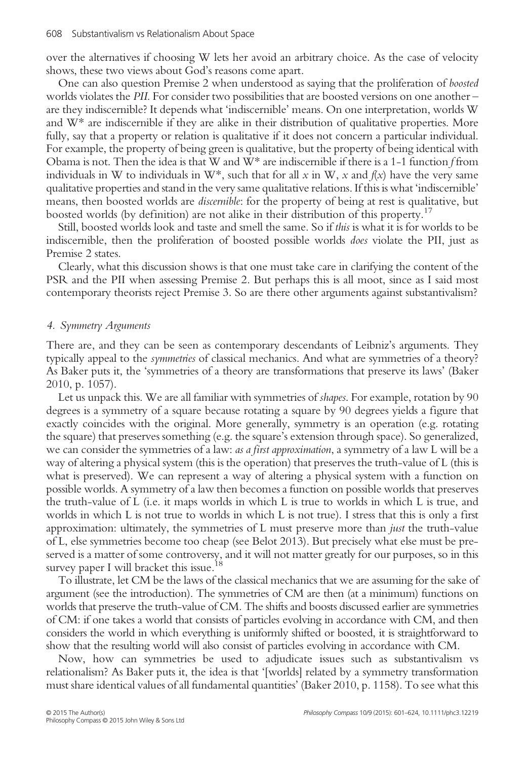over the alternatives if choosing W lets her avoid an arbitrary choice. As the case of velocity shows, these two views about God's reasons come apart.

One can also question Premise 2 when understood as saying that the proliferation of boosted worlds violates the PII. For consider two possibilities that are boosted versions on one another – are they indiscernible? It depends what 'indiscernible' means. On one interpretation, worlds W and W\* are indiscernible if they are alike in their distribution of qualitative properties. More fully, say that a property or relation is qualitative if it does not concern a particular individual. For example, the property of being green is qualitative, but the property of being identical with Obama is not. Then the idea is that W and  $W^*$  are indiscernible if there is a 1-1 function f from individuals in W to individuals in W<sup>\*</sup>, such that for all x in W, x and  $f(x)$  have the very same qualitative properties and stand in the very same qualitative relations. If this is what 'indiscernible' means, then boosted worlds are discernible: for the property of being at rest is qualitative, but boosted worlds (by definition) are not alike in their distribution of this property.<sup>17</sup>

Still, boosted worlds look and taste and smell the same. So if this is what it is for worlds to be indiscernible, then the proliferation of boosted possible worlds does violate the PII, just as Premise 2 states.

Clearly, what this discussion shows is that one must take care in clarifying the content of the PSR and the PII when assessing Premise 2. But perhaps this is all moot, since as I said most contemporary theorists reject Premise 3. So are there other arguments against substantivalism?

## 4. Symmetry Arguments

There are, and they can be seen as contemporary descendants of Leibniz's arguments. They typically appeal to the symmetries of classical mechanics. And what are symmetries of a theory? As Baker puts it, the 'symmetries of a theory are transformations that preserve its laws' (Baker 2010, p. 1057).

Let us unpack this. We are all familiar with symmetries of shapes. For example, rotation by 90 degrees is a symmetry of a square because rotating a square by 90 degrees yields a figure that exactly coincides with the original. More generally, symmetry is an operation (e.g. rotating the square) that preserves something (e.g. the square's extension through space). So generalized, we can consider the symmetries of a law: *as a first approximation*, a symmetry of a law L will be a way of altering a physical system (this is the operation) that preserves the truth-value of L (this is what is preserved). We can represent a way of altering a physical system with a function on possible worlds. A symmetry of a law then becomes a function on possible worlds that preserves the truth-value of L (i.e. it maps worlds in which L is true to worlds in which L is true, and worlds in which L is not true to worlds in which L is not true). I stress that this is only a first approximation: ultimately, the symmetries of  $L$  must preserve more than *just* the truth-value of L, else symmetries become too cheap (see Belot 2013). But precisely what else must be preserved is a matter of some controversy, and it will not matter greatly for our purposes, so in this survey paper I will bracket this issue.<sup>18</sup>

To illustrate, let CM be the laws of the classical mechanics that we are assuming for the sake of argument (see the introduction). The symmetries of CM are then (at a minimum) functions on worlds that preserve the truth-value of CM. The shifts and boosts discussed earlier are symmetries of CM: if one takes a world that consists of particles evolving in accordance with CM, and then considers the world in which everything is uniformly shifted or boosted, it is straightforward to show that the resulting world will also consist of particles evolving in accordance with CM.

Now, how can symmetries be used to adjudicate issues such as substantivalism vs relationalism? As Baker puts it, the idea is that '[worlds] related by a symmetry transformation must share identical values of all fundamental quantities' (Baker 2010, p. 1158). To see what this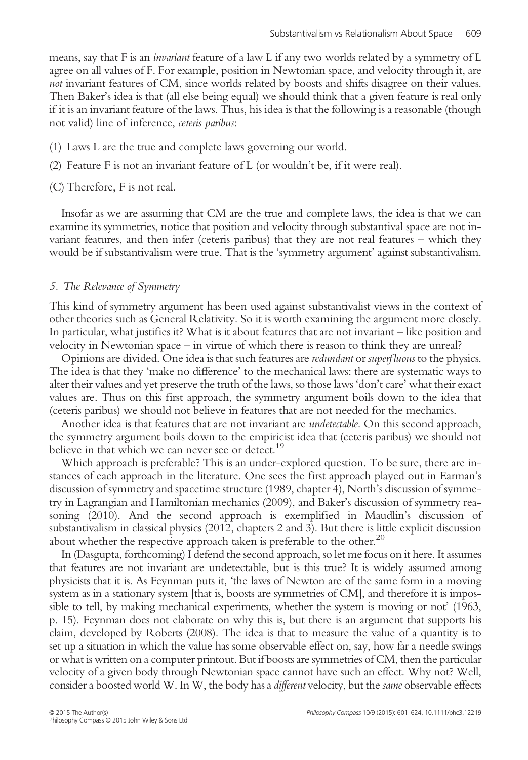means, say that F is an invariant feature of a law L if any two worlds related by a symmetry of L agree on all values of F. For example, position in Newtonian space, and velocity through it, are not invariant features of CM, since worlds related by boosts and shifts disagree on their values. Then Baker's idea is that (all else being equal) we should think that a given feature is real only if it is an invariant feature of the laws. Thus, his idea is that the following is a reasonable (though not valid) line of inference, ceteris paribus:

- (1) Laws L are the true and complete laws governing our world.
- (2) Feature F is not an invariant feature of L (or wouldn't be, if it were real).
- (C) Therefore, F is not real.

Insofar as we are assuming that CM are the true and complete laws, the idea is that we can examine its symmetries, notice that position and velocity through substantival space are not invariant features, and then infer (ceteris paribus) that they are not real features – which they would be if substantivalism were true. That is the 'symmetry argument' against substantivalism.

## 5. The Relevance of Symmetry

This kind of symmetry argument has been used against substantivalist views in the context of other theories such as General Relativity. So it is worth examining the argument more closely. In particular, what justifies it? What is it about features that are not invariant – like position and velocity in Newtonian space – in virtue of which there is reason to think they are unreal?

Opinions are divided. One idea is that such features are *redundant* or *superfluous* to the physics. The idea is that they 'make no difference' to the mechanical laws: there are systematic ways to alter their values and yet preserve the truth of the laws, so those laws 'don't care' what their exact values are. Thus on this first approach, the symmetry argument boils down to the idea that (ceteris paribus) we should not believe in features that are not needed for the mechanics.

Another idea is that features that are not invariant are undetectable. On this second approach, the symmetry argument boils down to the empiricist idea that (ceteris paribus) we should not believe in that which we can never see or detect.<sup>19</sup>

Which approach is preferable? This is an under-explored question. To be sure, there are instances of each approach in the literature. One sees the first approach played out in Earman's discussion of symmetry and spacetime structure (1989, chapter 4), North's discussion of symmetry in Lagrangian and Hamiltonian mechanics (2009), and Baker's discussion of symmetry reasoning (2010). And the second approach is exemplified in Maudlin's discussion of substantivalism in classical physics (2012, chapters 2 and 3). But there is little explicit discussion about whether the respective approach taken is preferable to the other.<sup>20</sup>

In (Dasgupta, forthcoming) I defend the second approach, so let me focus on it here. It assumes that features are not invariant are undetectable, but is this true? It is widely assumed among physicists that it is. As Feynman puts it, 'the laws of Newton are of the same form in a moving system as in a stationary system [that is, boosts are symmetries of CM], and therefore it is impossible to tell, by making mechanical experiments, whether the system is moving or not' (1963, p. 15). Feynman does not elaborate on why this is, but there is an argument that supports his claim, developed by Roberts (2008). The idea is that to measure the value of a quantity is to set up a situation in which the value has some observable effect on, say, how far a needle swings or what is written on a computer printout. But if boosts are symmetries of CM, then the particular velocity of a given body through Newtonian space cannot have such an effect. Why not? Well, consider a boosted world W. In W, the body has a different velocity, but the same observable effects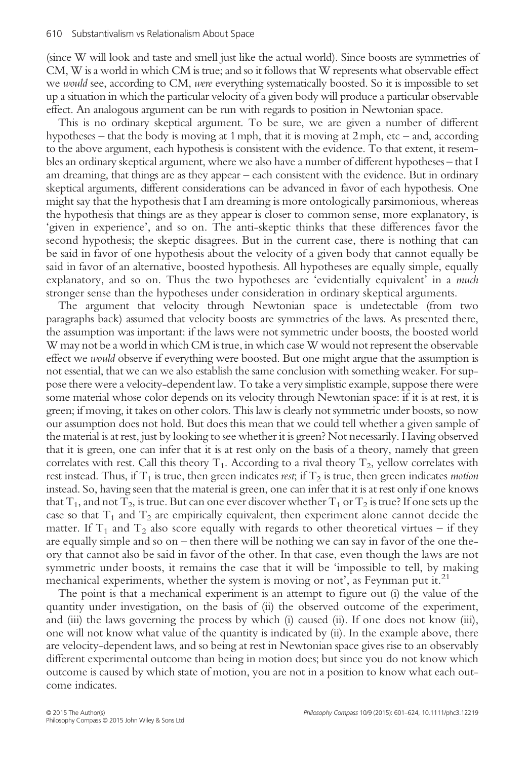(since W will look and taste and smell just like the actual world). Since boosts are symmetries of CM, W is a world in which CM is true; and so it follows that W represents what observable effect we *would* see, according to CM, were everything systematically boosted. So it is impossible to set up a situation in which the particular velocity of a given body will produce a particular observable effect. An analogous argument can be run with regards to position in Newtonian space.

This is no ordinary skeptical argument. To be sure, we are given a number of different hypotheses – that the body is moving at 1mph, that it is moving at 2mph, etc – and, according to the above argument, each hypothesis is consistent with the evidence. To that extent, it resembles an ordinary skeptical argument, where we also have a number of different hypotheses – that I am dreaming, that things are as they appear – each consistent with the evidence. But in ordinary skeptical arguments, different considerations can be advanced in favor of each hypothesis. One might say that the hypothesis that I am dreaming is more ontologically parsimonious, whereas the hypothesis that things are as they appear is closer to common sense, more explanatory, is 'given in experience', and so on. The anti-skeptic thinks that these differences favor the second hypothesis; the skeptic disagrees. But in the current case, there is nothing that can be said in favor of one hypothesis about the velocity of a given body that cannot equally be said in favor of an alternative, boosted hypothesis. All hypotheses are equally simple, equally explanatory, and so on. Thus the two hypotheses are 'evidentially equivalent' in a much stronger sense than the hypotheses under consideration in ordinary skeptical arguments.

The argument that velocity through Newtonian space is undetectable (from two paragraphs back) assumed that velocity boosts are symmetries of the laws. As presented there, the assumption was important: if the laws were not symmetric under boosts, the boosted world W may not be a world in which CM is true, in which case W would not represent the observable effect we *would* observe if everything were boosted. But one might argue that the assumption is not essential, that we can we also establish the same conclusion with something weaker. For suppose there were a velocity-dependent law. To take a very simplistic example, suppose there were some material whose color depends on its velocity through Newtonian space: if it is at rest, it is green; if moving, it takes on other colors. This law is clearly not symmetric under boosts, so now our assumption does not hold. But does this mean that we could tell whether a given sample of the material is at rest, just by looking to see whether it is green? Not necessarily. Having observed that it is green, one can infer that it is at rest only on the basis of a theory, namely that green correlates with rest. Call this theory  $T_1$ . According to a rival theory  $T_2$ , yellow correlates with rest instead. Thus, if  $T_1$  is true, then green indicates rest; if  $T_2$  is true, then green indicates *motion* instead. So, having seen that the material is green, one can infer that it is at rest only if one knows that  $T_1$ , and not  $T_2$ , is true. But can one ever discover whether  $T_1$  or  $T_2$  is true? If one sets up the case so that  $T_1$  and  $T_2$  are empirically equivalent, then experiment alone cannot decide the matter. If  $T_1$  and  $T_2$  also score equally with regards to other theoretical virtues – if they are equally simple and so on – then there will be nothing we can say in favor of the one theory that cannot also be said in favor of the other. In that case, even though the laws are not symmetric under boosts, it remains the case that it will be 'impossible to tell, by making mechanical experiments, whether the system is moving or not', as Feynman put it.<sup>21</sup>

The point is that a mechanical experiment is an attempt to figure out (i) the value of the quantity under investigation, on the basis of (ii) the observed outcome of the experiment, and (iii) the laws governing the process by which (i) caused (ii). If one does not know (iii), one will not know what value of the quantity is indicated by (ii). In the example above, there are velocity-dependent laws, and so being at rest in Newtonian space gives rise to an observably different experimental outcome than being in motion does; but since you do not know which outcome is caused by which state of motion, you are not in a position to know what each outcome indicates.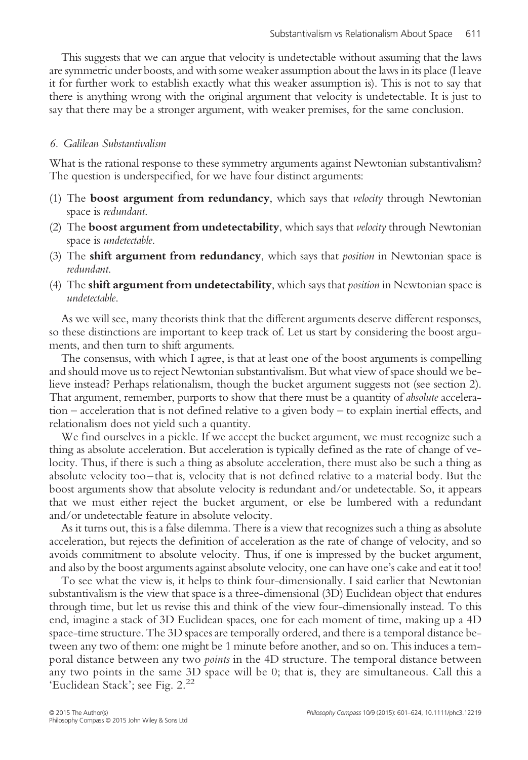This suggests that we can argue that velocity is undetectable without assuming that the laws are symmetric under boosts, and with some weaker assumption about the laws in its place (I leave it for further work to establish exactly what this weaker assumption is). This is not to say that there is anything wrong with the original argument that velocity is undetectable. It is just to say that there may be a stronger argument, with weaker premises, for the same conclusion.

## 6. Galilean Substantivalism

What is the rational response to these symmetry arguments against Newtonian substantivalism? The question is underspecified, for we have four distinct arguments:

- (1) The **boost argument from redundancy**, which says that *velocity* through Newtonian space is redundant.
- (2) The **boost argument from undetectability**, which says that *velocity* through Newtonian space is undetectable.
- (3) The **shift argument from redundancy**, which says that *position* in Newtonian space is redundant.
- (4) The shift argument from undetectability, which says that *position* in Newtonian space is undetectable.

As we will see, many theorists think that the different arguments deserve different responses, so these distinctions are important to keep track of. Let us start by considering the boost arguments, and then turn to shift arguments.

The consensus, with which I agree, is that at least one of the boost arguments is compelling and should move us to reject Newtonian substantivalism. But what view of space should we believe instead? Perhaps relationalism, though the bucket argument suggests not (see section 2). That argument, remember, purports to show that there must be a quantity of *absolute* acceleration – acceleration that is not defined relative to a given body – to explain inertial effects, and relationalism does not yield such a quantity.

We find ourselves in a pickle. If we accept the bucket argument, we must recognize such a thing as absolute acceleration. But acceleration is typically defined as the rate of change of velocity. Thus, if there is such a thing as absolute acceleration, there must also be such a thing as absolute velocity too–that is, velocity that is not defined relative to a material body. But the boost arguments show that absolute velocity is redundant and/or undetectable. So, it appears that we must either reject the bucket argument, or else be lumbered with a redundant and/or undetectable feature in absolute velocity.

As it turns out, this is a false dilemma. There is a view that recognizes such a thing as absolute acceleration, but rejects the definition of acceleration as the rate of change of velocity, and so avoids commitment to absolute velocity. Thus, if one is impressed by the bucket argument, and also by the boost arguments against absolute velocity, one can have one's cake and eat it too!

To see what the view is, it helps to think four-dimensionally. I said earlier that Newtonian substantivalism is the view that space is a three-dimensional (3D) Euclidean object that endures through time, but let us revise this and think of the view four-dimensionally instead. To this end, imagine a stack of 3D Euclidean spaces, one for each moment of time, making up a 4D space-time structure. The 3D spaces are temporally ordered, and there is a temporal distance between any two of them: one might be 1 minute before another, and so on. This induces a temporal distance between any two points in the 4D structure. The temporal distance between any two points in the same 3D space will be 0; that is, they are simultaneous. Call this a 'Euclidean Stack'; see Fig. 2.<sup>22</sup>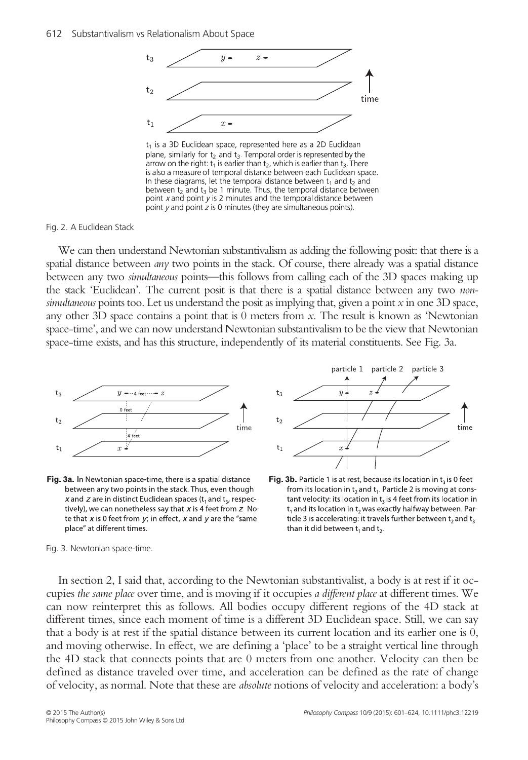

 $t<sub>1</sub>$  is a 3D Euclidean space, represented here as a 2D Euclidean plane, similarly for  $t_2$  and  $t_3$ . Temporal order is represented by the arrow on the right:  $t_1$  is earlier than  $t_2$ , which is earlier than  $t_3$ . There is also a measure of temporal distance between each Euclidean space. In these diagrams, let the temporal distance between  $t_1$  and  $t_2$  and between  $t_2$  and  $t_3$  be 1 minute. Thus, the temporal distance between point  $x$  and point  $y$  is 2 minutes and the temporal distance between point  $y$  and point  $z$  is 0 minutes (they are simultaneous points).

#### Fig. 2. A Euclidean Stack

We can then understand Newtonian substantivalism as adding the following posit: that there is a spatial distance between *any* two points in the stack. Of course, there already was a spatial distance between any two simultaneous points—this follows from calling each of the 3D spaces making up the stack 'Euclidean'. The current posit is that there is a spatial distance between any two nonsimultaneous points too. Let us understand the posit as implying that, given a point x in one 3D space, any other 3D space contains a point that is 0 meters from x. The result is known as 'Newtonian space-time', and we can now understand Newtonian substantivalism to be the view that Newtonian space-time exists, and has this structure, independently of its material constituents. See Fig. 3a.



Fig. 3a. In Newtonian space-time, there is a spatial distance between any two points in the stack. Thus, even though x and z are in distinct Euclidean spaces ( $t_1$  and  $t_3$ , respectively), we can nonetheless say that  $x$  is 4 feet from  $z$ . Note that  $x$  is 0 feet from  $y$ ; in effect,  $x$  and  $y$  are the "same place" at different times.



Fig. 3b. Particle 1 is at rest, because its location in  $t<sub>3</sub>$  is 0 feet from its location in  $t_2$  and  $t_1$ . Particle 2 is moving at constant velocity: its location in  $t_3$  is 4 feet from its location in t<sub>1</sub> and its location in t<sub>2</sub> was exactly halfway between. Particle 3 is accelerating: it travels further between  $t_2$  and  $t_3$ than it did between  $t_1$  and  $t_2$ .



In section 2, I said that, according to the Newtonian substantivalist, a body is at rest if it occupies the same place over time, and is moving if it occupies a different place at different times. We can now reinterpret this as follows. All bodies occupy different regions of the 4D stack at different times, since each moment of time is a different 3D Euclidean space. Still, we can say that a body is at rest if the spatial distance between its current location and its earlier one is 0, and moving otherwise. In effect, we are defining a 'place' to be a straight vertical line through the 4D stack that connects points that are 0 meters from one another. Velocity can then be defined as distance traveled over time, and acceleration can be defined as the rate of change of velocity, as normal. Note that these are absolute notions of velocity and acceleration: a body's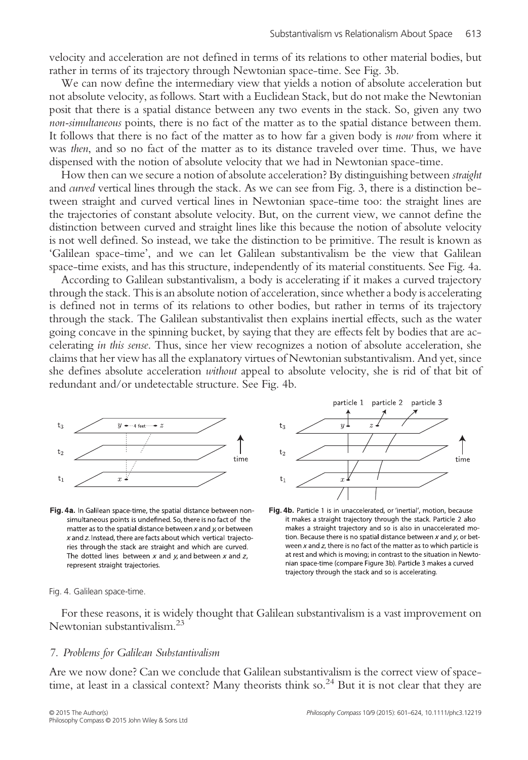velocity and acceleration are not defined in terms of its relations to other material bodies, but rather in terms of its trajectory through Newtonian space-time. See Fig. 3b.

We can now define the intermediary view that yields a notion of absolute acceleration but not absolute velocity, as follows. Start with a Euclidean Stack, but do not make the Newtonian posit that there is a spatial distance between any two events in the stack. So, given any two non-simultaneous points, there is no fact of the matter as to the spatial distance between them. It follows that there is no fact of the matter as to how far a given body is now from where it was then, and so no fact of the matter as to its distance traveled over time. Thus, we have dispensed with the notion of absolute velocity that we had in Newtonian space-time.

How then can we secure a notion of absolute acceleration? By distinguishing between straight and curved vertical lines through the stack. As we can see from Fig. 3, there is a distinction between straight and curved vertical lines in Newtonian space-time too: the straight lines are the trajectories of constant absolute velocity. But, on the current view, we cannot define the distinction between curved and straight lines like this because the notion of absolute velocity is not well defined. So instead, we take the distinction to be primitive. The result is known as 'Galilean space-time', and we can let Galilean substantivalism be the view that Galilean space-time exists, and has this structure, independently of its material constituents. See Fig. 4a.

According to Galilean substantivalism, a body is accelerating if it makes a curved trajectory through the stack. This is an absolute notion of acceleration, since whether a body is accelerating is defined not in terms of its relations to other bodies, but rather in terms of its trajectory through the stack. The Galilean substantivalist then explains inertial effects, such as the water going concave in the spinning bucket, by saying that they are effects felt by bodies that are accelerating in this sense. Thus, since her view recognizes a notion of absolute acceleration, she claims that her view has all the explanatory virtues of Newtonian substantivalism. And yet, since she defines absolute acceleration without appeal to absolute velocity, she is rid of that bit of redundant and/or undetectable structure. See Fig. 4b.



Fig. 4a. In Galilean space-time, the spatial distance between nonsimultaneous points is undefined. So, there is no fact of the matter as to the spatial distance between  $x$  and  $y$ , or between  $x$  and z. Instead, there are facts about which vertical trajectories through the stack are straight and which are curved. The dotted lines between  $x$  and  $y$ , and between  $x$  and  $z$ , represent straight trajectories.



Fig. 4b. Particle 1 is in unaccelerated, or 'inertial', motion, because it makes a straight trajectory through the stack. Particle 2 also makes a straight trajectory and so is also in unaccelerated motion. Because there is no spatial distance between  $x$  and  $y$ , or between  $x$  and  $z$ , there is no fact of the matter as to which particle is at rest and which is moving; in contrast to the situation in Newtonian space-time (compare Figure 3b). Particle 3 makes a curved trajectory through the stack and so is accelerating.

#### Fig. 4. Galilean space-time.

For these reasons, it is widely thought that Galilean substantivalism is a vast improvement on Newtonian substantivalism.23

#### 7. Problems for Galilean Substantivalism

Are we now done? Can we conclude that Galilean substantivalism is the correct view of spacetime, at least in a classical context? Many theorists think so.<sup>24</sup> But it is not clear that they are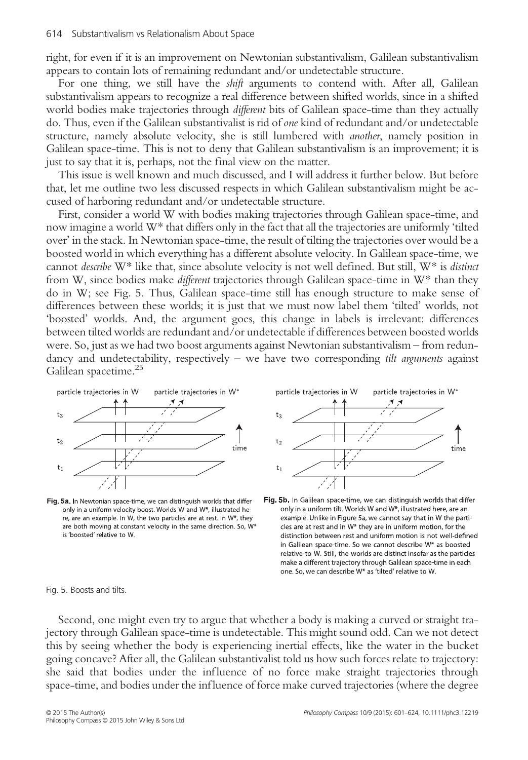right, for even if it is an improvement on Newtonian substantivalism, Galilean substantivalism appears to contain lots of remaining redundant and/or undetectable structure.

For one thing, we still have the *shift* arguments to contend with. After all, Galilean substantivalism appears to recognize a real difference between shifted worlds, since in a shifted world bodies make trajectories through different bits of Galilean space-time than they actually do. Thus, even if the Galilean substantivalist is rid of one kind of redundant and/or undetectable structure, namely absolute velocity, she is still lumbered with another, namely position in Galilean space-time. This is not to deny that Galilean substantivalism is an improvement; it is just to say that it is, perhaps, not the final view on the matter.

This issue is well known and much discussed, and I will address it further below. But before that, let me outline two less discussed respects in which Galilean substantivalism might be accused of harboring redundant and/or undetectable structure.

First, consider a world W with bodies making trajectories through Galilean space-time, and now imagine a world W\* that differs only in the fact that all the trajectories are uniformly 'tilted over' in the stack. In Newtonian space-time, the result of tilting the trajectories over would be a boosted world in which everything has a different absolute velocity. In Galilean space-time, we cannot describe W\* like that, since absolute velocity is not well defined. But still, W\* is distinct from W, since bodies make different trajectories through Galilean space-time in W\* than they do in W; see Fig. 5. Thus, Galilean space-time still has enough structure to make sense of differences between these worlds; it is just that we must now label them 'tilted' worlds, not 'boosted' worlds. And, the argument goes, this change in labels is irrelevant: differences between tilted worlds are redundant and/or undetectable if differences between boosted worlds were. So, just as we had two boost arguments against Newtonian substantivalism – from redundancy and undetectability, respectively  $-$  we have two corresponding *tilt arguments* against Galilean spacetime.<sup>25</sup>



Fig. 5a. In Newtonian space-time, we can distinguish worlds that differ only in a uniform velocity boost. Worlds W and W\*, illustrated here, are an example. In W, the two particles are at rest. In W\*, they are both moving at constant velocity in the same direction. So, W\* is 'boosted' relative to W.



Fig. 5b. In Galilean space-time, we can distinguish worlds that differ only in a uniform tilt. Worlds W and W\*, illustrated here, are an example. Unlike in Figure 5a, we cannot say that in W the particles are at rest and in W\* they are in uniform motion, for the distinction between rest and uniform motion is not well-defined in Galilean space-time. So we cannot describe W\* as boosted relative to W. Still, the worlds are distinct insofar as the particles make a different trajectory through Galilean space-time in each one. So, we can describe W\* as 'tilted' relative to W.

#### Fig. 5. Boosts and tilts.

Second, one might even try to argue that whether a body is making a curved or straight trajectory through Galilean space-time is undetectable. This might sound odd. Can we not detect this by seeing whether the body is experiencing inertial effects, like the water in the bucket going concave? After all, the Galilean substantivalist told us how such forces relate to trajectory: she said that bodies under the influence of no force make straight trajectories through space-time, and bodies under the influence of force make curved trajectories (where the degree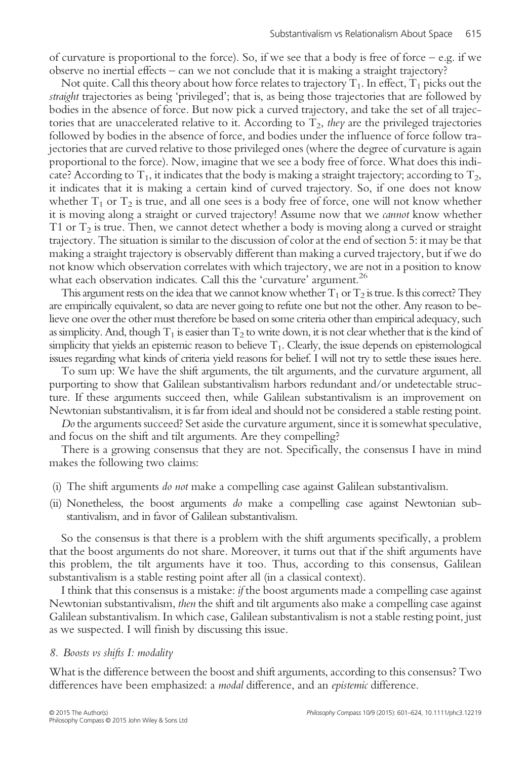of curvature is proportional to the force). So, if we see that a body is free of force  $-$  e.g. if we observe no inertial effects – can we not conclude that it is making a straight trajectory?

Not quite. Call this theory about how force relates to trajectory  $T_1$ . In effect,  $T_1$  picks out the straight trajectories as being 'privileged'; that is, as being those trajectories that are followed by bodies in the absence of force. But now pick a curved trajectory, and take the set of all trajectories that are unaccelerated relative to it. According to  $T_2$ , they are the privileged trajectories followed by bodies in the absence of force, and bodies under the inf luence of force follow trajectories that are curved relative to those privileged ones (where the degree of curvature is again proportional to the force). Now, imagine that we see a body free of force. What does this indicate? According to  $T_1$ , it indicates that the body is making a straight trajectory; according to  $T_2$ , it indicates that it is making a certain kind of curved trajectory. So, if one does not know whether  $T_1$  or  $T_2$  is true, and all one sees is a body free of force, one will not know whether it is moving along a straight or curved trajectory! Assume now that we cannot know whether T1 or  $T_2$  is true. Then, we cannot detect whether a body is moving along a curved or straight trajectory. The situation is similar to the discussion of color at the end of section 5: it may be that making a straight trajectory is observably different than making a curved trajectory, but if we do not know which observation correlates with which trajectory, we are not in a position to know what each observation indicates. Call this the 'curvature' argument.<sup>26</sup>

This argument rests on the idea that we cannot know whether  $T_1$  or  $T_2$  is true. Is this correct? They are empirically equivalent, so data are never going to refute one but not the other. Any reason to believe one over the other must therefore be based on some criteria other than empirical adequacy, such as simplicity. And, though  $T_1$  is easier than  $T_2$  to write down, it is not clear whether that is the kind of simplicity that yields an epistemic reason to believe  $T_1$ . Clearly, the issue depends on epistemological issues regarding what kinds of criteria yield reasons for belief. I will not try to settle these issues here.

To sum up: We have the shift arguments, the tilt arguments, and the curvature argument, all purporting to show that Galilean substantivalism harbors redundant and/or undetectable structure. If these arguments succeed then, while Galilean substantivalism is an improvement on Newtonian substantivalism, it is far from ideal and should not be considered a stable resting point.

Dothe arguments succeed? Set aside the curvature argument, since it is somewhat speculative, and focus on the shift and tilt arguments. Are they compelling?

There is a growing consensus that they are not. Specifically, the consensus I have in mind makes the following two claims:

- (i) The shift arguments do not make a compelling case against Galilean substantivalism.
- (ii) Nonetheless, the boost arguments do make a compelling case against Newtonian substantivalism, and in favor of Galilean substantivalism.

So the consensus is that there is a problem with the shift arguments specifically, a problem that the boost arguments do not share. Moreover, it turns out that if the shift arguments have this problem, the tilt arguments have it too. Thus, according to this consensus, Galilean substantivalism is a stable resting point after all (in a classical context).

I think that this consensus is a mistake: *if* the boost arguments made a compelling case against Newtonian substantivalism, then the shift and tilt arguments also make a compelling case against Galilean substantivalism. In which case, Galilean substantivalism is not a stable resting point, just as we suspected. I will finish by discussing this issue.

## 8. Boosts vs shifts I: modality

What is the difference between the boost and shift arguments, according to this consensus? Two differences have been emphasized: a modal difference, and an epistemic difference.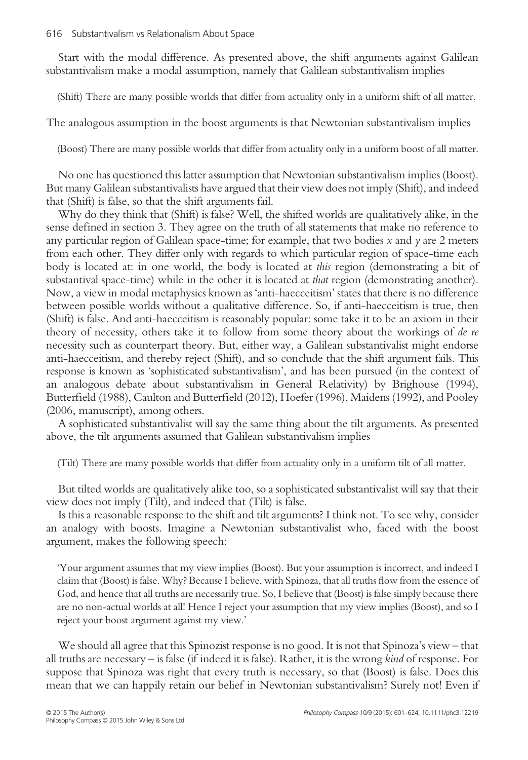### 616 Substantivalism vs Relationalism About Space

Start with the modal difference. As presented above, the shift arguments against Galilean substantivalism make a modal assumption, namely that Galilean substantivalism implies

(Shift) There are many possible worlds that differ from actuality only in a uniform shift of all matter.

The analogous assumption in the boost arguments is that Newtonian substantivalism implies

(Boost) There are many possible worlds that differ from actuality only in a uniform boost of all matter.

No one has questioned this latter assumption that Newtonian substantivalism implies (Boost). But many Galilean substantivalists have argued that their view does not imply (Shift), and indeed that (Shift) is false, so that the shift arguments fail.

Why do they think that (Shift) is false? Well, the shifted worlds are qualitatively alike, in the sense defined in section 3. They agree on the truth of all statements that make no reference to any particular region of Galilean space-time; for example, that two bodies  $x$  and  $y$  are 2 meters from each other. They differ only with regards to which particular region of space-time each body is located at: in one world, the body is located at this region (demonstrating a bit of substantival space-time) while in the other it is located at *that* region (demonstrating another). Now, a view in modal metaphysics known as 'anti-haecceitism' states that there is no difference between possible worlds without a qualitative difference. So, if anti-haecceitism is true, then (Shift) is false. And anti-haecceitism is reasonably popular: some take it to be an axiom in their theory of necessity, others take it to follow from some theory about the workings of de re necessity such as counterpart theory. But, either way, a Galilean substantivalist might endorse anti-haecceitism, and thereby reject (Shift), and so conclude that the shift argument fails. This response is known as 'sophisticated substantivalism', and has been pursued (in the context of an analogous debate about substantivalism in General Relativity) by Brighouse (1994), Butterfield (1988), Caulton and Butterfield (2012), Hoefer (1996), Maidens (1992), and Pooley (2006, manuscript), among others.

A sophisticated substantivalist will say the same thing about the tilt arguments. As presented above, the tilt arguments assumed that Galilean substantivalism implies

(Tilt) There are many possible worlds that differ from actuality only in a uniform tilt of all matter.

But tilted worlds are qualitatively alike too, so a sophisticated substantivalist will say that their view does not imply (Tilt), and indeed that (Tilt) is false.

Is this a reasonable response to the shift and tilt arguments? I think not. To see why, consider an analogy with boosts. Imagine a Newtonian substantivalist who, faced with the boost argument, makes the following speech:

'Your argument assumes that my view implies (Boost). But your assumption is incorrect, and indeed I claim that (Boost) is false. Why? Because I believe, with Spinoza, that all truths flow from the essence of God, and hence that all truths are necessarily true. So, I believe that (Boost) is false simply because there are no non-actual worlds at all! Hence I reject your assumption that my view implies (Boost), and so I reject your boost argument against my view.'

We should all agree that this Spinozist response is no good. It is not that Spinoza's view – that all truths are necessary – is false (if indeed it is false). Rather, it is the wrong kind of response. For suppose that Spinoza was right that every truth is necessary, so that (Boost) is false. Does this mean that we can happily retain our belief in Newtonian substantivalism? Surely not! Even if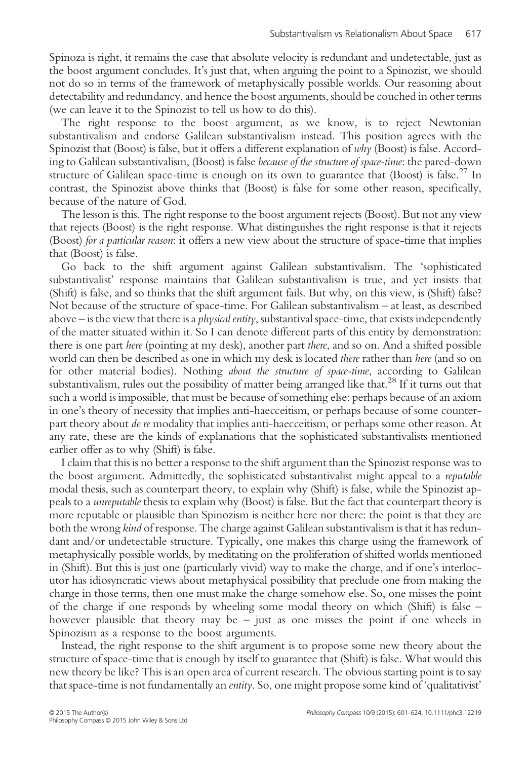Spinoza is right, it remains the case that absolute velocity is redundant and undetectable, just as the boost argument concludes. It's just that, when arguing the point to a Spinozist, we should not do so in terms of the framework of metaphysically possible worlds. Our reasoning about detectability and redundancy, and hence the boost arguments, should be couched in other terms (we can leave it to the Spinozist to tell us how to do this).

The right response to the boost argument, as we know, is to reject Newtonian substantivalism and endorse Galilean substantivalism instead. This position agrees with the Spinozist that (Boost) is false, but it offers a different explanation of why (Boost) is false. According to Galilean substantivalism, (Boost) is false because of the structure of space-time: the pared-down structure of Galilean space-time is enough on its own to guarantee that (Boost) is false.<sup>27</sup> In contrast, the Spinozist above thinks that (Boost) is false for some other reason, specifically, because of the nature of God.

The lesson is this. The right response to the boost argument rejects (Boost). But not any view that rejects (Boost) is the right response. What distinguishes the right response is that it rejects (Boost) for a particular reason: it offers a new view about the structure of space-time that implies that (Boost) is false.

Go back to the shift argument against Galilean substantivalism. The 'sophisticated substantivalist' response maintains that Galilean substantivalism is true, and yet insists that (Shift) is false, and so thinks that the shift argument fails. But why, on this view, is (Shift) false? Not because of the structure of space-time. For Galilean substantivalism – at least, as described above  $-$  is the view that there is a *physical entity*, substantival space-time, that exists independently of the matter situated within it. So I can denote different parts of this entity by demonstration: there is one part *here* (pointing at my desk), another part *there*, and so on. And a shifted possible world can then be described as one in which my desk is located *there* rather than *here* (and so on for other material bodies). Nothing about the structure of space-time, according to Galilean substantivalism, rules out the possibility of matter being arranged like that.<sup>28</sup> If it turns out that such a world is impossible, that must be because of something else: perhaps because of an axiom in one's theory of necessity that implies anti-haecceitism, or perhaps because of some counterpart theory about de re modality that implies anti-haecceitism, or perhaps some other reason. At any rate, these are the kinds of explanations that the sophisticated substantivalists mentioned earlier offer as to why (Shift) is false.

I claim that this is no better a response to the shift argument than the Spinozist response was to the boost argument. Admittedly, the sophisticated substantivalist might appeal to a reputable modal thesis, such as counterpart theory, to explain why (Shift) is false, while the Spinozist appeals to a unreputable thesis to explain why (Boost) is false. But the fact that counterpart theory is more reputable or plausible than Spinozism is neither here nor there: the point is that they are both the wrong kind of response. The charge against Galilean substantivalism is that it has redundant and/or undetectable structure. Typically, one makes this charge using the framework of metaphysically possible worlds, by meditating on the proliferation of shifted worlds mentioned in (Shift). But this is just one (particularly vivid) way to make the charge, and if one's interlocutor has idiosyncratic views about metaphysical possibility that preclude one from making the charge in those terms, then one must make the charge somehow else. So, one misses the point of the charge if one responds by wheeling some modal theory on which (Shift) is false – however plausible that theory may be  $-$  just as one misses the point if one wheels in Spinozism as a response to the boost arguments.

Instead, the right response to the shift argument is to propose some new theory about the structure of space-time that is enough by itself to guarantee that (Shift) is false. What would this new theory be like? This is an open area of current research. The obvious starting point is to say that space-time is not fundamentally an entity. So, one might propose some kind of 'qualitativist'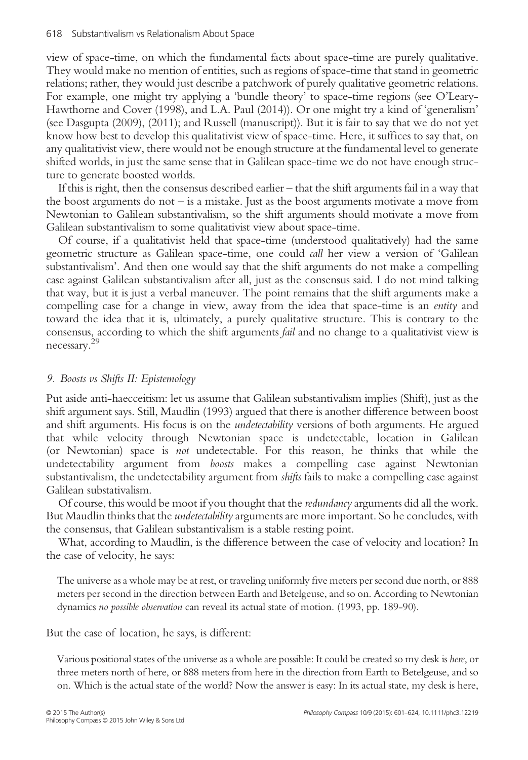view of space-time, on which the fundamental facts about space-time are purely qualitative. They would make no mention of entities, such as regions of space-time that stand in geometric relations; rather, they would just describe a patchwork of purely qualitative geometric relations. For example, one might try applying a 'bundle theory' to space-time regions (see O'Leary-Hawthorne and Cover (1998), and L.A. Paul (2014)). Or one might try a kind of 'generalism' (see Dasgupta (2009), (2011); and Russell (manuscript)). But it is fair to say that we do not yet know how best to develop this qualitativist view of space-time. Here, it suffices to say that, on any qualitativist view, there would not be enough structure at the fundamental level to generate shifted worlds, in just the same sense that in Galilean space-time we do not have enough structure to generate boosted worlds.

If this is right, then the consensus described earlier – that the shift arguments fail in a way that the boost arguments do not – is a mistake. Just as the boost arguments motivate a move from Newtonian to Galilean substantivalism, so the shift arguments should motivate a move from Galilean substantivalism to some qualitativist view about space-time.

Of course, if a qualitativist held that space-time (understood qualitatively) had the same geometric structure as Galilean space-time, one could call her view a version of 'Galilean substantivalism'. And then one would say that the shift arguments do not make a compelling case against Galilean substantivalism after all, just as the consensus said. I do not mind talking that way, but it is just a verbal maneuver. The point remains that the shift arguments make a compelling case for a change in view, away from the idea that space-time is an *entity* and toward the idea that it is, ultimately, a purely qualitative structure. This is contrary to the consensus, according to which the shift arguments fail and no change to a qualitativist view is necessary.29

## 9. Boosts vs Shifts II: Epistemology

Put aside anti-haecceitism: let us assume that Galilean substantivalism implies (Shift), just as the shift argument says. Still, Maudlin (1993) argued that there is another difference between boost and shift arguments. His focus is on the undetectability versions of both arguments. He argued that while velocity through Newtonian space is undetectable, location in Galilean (or Newtonian) space is not undetectable. For this reason, he thinks that while the undetectability argument from boosts makes a compelling case against Newtonian substantivalism, the undetectability argument from *shifts* fails to make a compelling case against Galilean substativalism.

Of course, this would be moot if you thought that the redundancy arguments did all the work. But Maudlin thinks that the *undetectability* arguments are more important. So he concludes, with the consensus, that Galilean substantivalism is a stable resting point.

What, according to Maudlin, is the difference between the case of velocity and location? In the case of velocity, he says:

The universe as a whole may be at rest, or traveling uniformly five meters per second due north, or 888 meters per second in the direction between Earth and Betelgeuse, and so on. According to Newtonian dynamics no possible observation can reveal its actual state of motion. (1993, pp. 189-90).

But the case of location, he says, is different:

Various positional states of the universe as a whole are possible: It could be created so my desk is here, or three meters north of here, or 888 meters from here in the direction from Earth to Betelgeuse, and so on. Which is the actual state of the world? Now the answer is easy: In its actual state, my desk is here,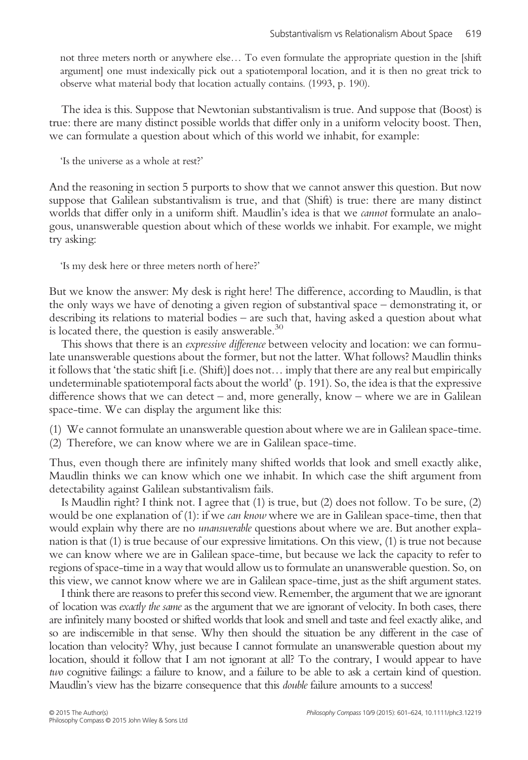not three meters north or anywhere else... To even formulate the appropriate question in the [shift] argument] one must indexically pick out a spatiotemporal location, and it is then no great trick to observe what material body that location actually contains. (1993, p. 190).

The idea is this. Suppose that Newtonian substantivalism is true. And suppose that (Boost) is true: there are many distinct possible worlds that differ only in a uniform velocity boost. Then, we can formulate a question about which of this world we inhabit, for example:

'Is the universe as a whole at rest?'

And the reasoning in section 5 purports to show that we cannot answer this question. But now suppose that Galilean substantivalism is true, and that (Shift) is true: there are many distinct worlds that differ only in a uniform shift. Maudlin's idea is that we cannot formulate an analogous, unanswerable question about which of these worlds we inhabit. For example, we might try asking:

'Is my desk here or three meters north of here?'

But we know the answer: My desk is right here! The difference, according to Maudlin, is that the only ways we have of denoting a given region of substantival space – demonstrating it, or describing its relations to material bodies – are such that, having asked a question about what is located there, the question is easily answerable. $30$ 

This shows that there is an *expressive difference* between velocity and location: we can formulate unanswerable questions about the former, but not the latter. What follows? Maudlin thinks it follows that 'the static shift [i.e. (Shift)] does not… imply that there are any real but empirically undeterminable spatiotemporal facts about the world' (p. 191). So, the idea is that the expressive difference shows that we can detect – and, more generally, know – where we are in Galilean space-time. We can display the argument like this:

- (1) We cannot formulate an unanswerable question about where we are in Galilean space-time.
- (2) Therefore, we can know where we are in Galilean space-time.

Thus, even though there are infinitely many shifted worlds that look and smell exactly alike, Maudlin thinks we can know which one we inhabit. In which case the shift argument from detectability against Galilean substantivalism fails.

Is Maudlin right? I think not. I agree that (1) is true, but (2) does not follow. To be sure, (2) would be one explanation of  $(1)$ : if we *can know* where we are in Galilean space-time, then that would explain why there are no unanswerable questions about where we are. But another explanation is that (1) is true because of our expressive limitations. On this view, (1) is true not because we can know where we are in Galilean space-time, but because we lack the capacity to refer to regions of space-time in a way that would allow us to formulate an unanswerable question. So, on this view, we cannot know where we are in Galilean space-time, just as the shift argument states.

I think there are reasons to prefer this second view. Remember, the argument that we are ignorant of location was exactly the same as the argument that we are ignorant of velocity. In both cases, there are infinitely many boosted or shifted worlds that look and smell and taste and feel exactly alike, and so are indiscernible in that sense. Why then should the situation be any different in the case of location than velocity? Why, just because I cannot formulate an unanswerable question about my location, should it follow that I am not ignorant at all? To the contrary, I would appear to have two cognitive failings: a failure to know, and a failure to be able to ask a certain kind of question. Maudlin's view has the bizarre consequence that this double failure amounts to a success!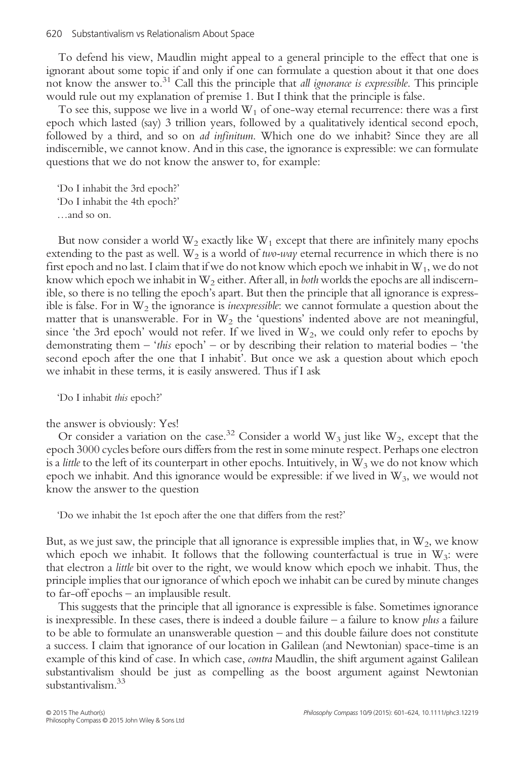To defend his view, Maudlin might appeal to a general principle to the effect that one is ignorant about some topic if and only if one can formulate a question about it that one does not know the answer to. $31$  Call this the principle that *all ignorance is expressible*. This principle would rule out my explanation of premise 1. But I think that the principle is false.

To see this, suppose we live in a world  $W_1$  of one-way eternal recurrence: there was a first epoch which lasted (say) 3 trillion years, followed by a qualitatively identical second epoch, followed by a third, and so on ad infinitum. Which one do we inhabit? Since they are all indiscernible, we cannot know. And in this case, the ignorance is expressible: we can formulate questions that we do not know the answer to, for example:

'Do I inhabit the 3rd epoch?' 'Do I inhabit the 4th epoch?' …and so on.

But now consider a world  $W_2$  exactly like  $W_1$  except that there are infinitely many epochs extending to the past as well. W<sub>2</sub> is a world of *two-way* eternal recurrence in which there is no first epoch and no last. I claim that if we do not know which epoch we inhabit in  $W_1$ , we do not know which epoch we inhabit in  $W_2$  either. After all, in *both* worlds the epochs are all indiscernible, so there is no telling the epoch's apart. But then the principle that all ignorance is expressible is false. For in  $W_2$  the ignorance is *inexpressible*: we cannot formulate a question about the matter that is unanswerable. For in  $W_2$  the 'questions' indented above are not meaningful, since 'the 3rd epoch' would not refer. If we lived in  $W_2$ , we could only refer to epochs by demonstrating them – 'this epoch' – or by describing their relation to material bodies – 'the second epoch after the one that I inhabit'. But once we ask a question about which epoch we inhabit in these terms, it is easily answered. Thus if I ask

'Do I inhabit this epoch?'

## the answer is obviously: Yes!

Or consider a variation on the case.<sup>32</sup> Consider a world  $W_3$  just like  $W_2$ , except that the epoch 3000 cycles before ours differs from the rest in some minute respect. Perhaps one electron is a *little* to the left of its counterpart in other epochs. Intuitively, in  $W_3$  we do not know which epoch we inhabit. And this ignorance would be expressible: if we lived in  $W_3$ , we would not know the answer to the question

'Do we inhabit the 1st epoch after the one that differs from the rest?'

But, as we just saw, the principle that all ignorance is expressible implies that, in  $W_2$ , we know which epoch we inhabit. It follows that the following counterfactual is true in  $W_3$ : were that electron a little bit over to the right, we would know which epoch we inhabit. Thus, the principle implies that our ignorance of which epoch we inhabit can be cured by minute changes to far-off epochs – an implausible result.

This suggests that the principle that all ignorance is expressible is false. Sometimes ignorance is inexpressible. In these cases, there is indeed a double failure  $-$  a failure to know *plus* a failure to be able to formulate an unanswerable question – and this double failure does not constitute a success. I claim that ignorance of our location in Galilean (and Newtonian) space-time is an example of this kind of case. In which case, contra Maudlin, the shift argument against Galilean substantivalism should be just as compelling as the boost argument against Newtonian substantivalism.<sup>33</sup>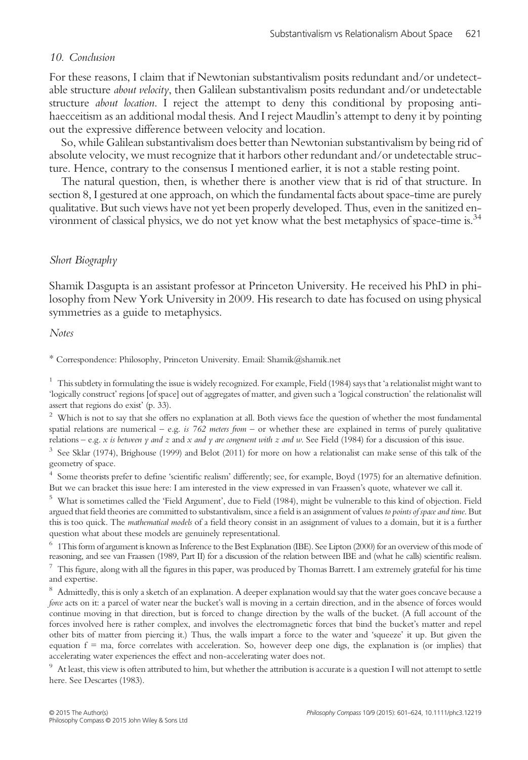## 10. Conclusion

For these reasons, I claim that if Newtonian substantivalism posits redundant and/or undetectable structure about velocity, then Galilean substantivalism posits redundant and/or undetectable structure about location. I reject the attempt to deny this conditional by proposing antihaecceitism as an additional modal thesis. And I reject Maudlin's attempt to deny it by pointing out the expressive difference between velocity and location.

So, while Galilean substantivalism does better than Newtonian substantivalism by being rid of absolute velocity, we must recognize that it harbors other redundant and/or undetectable structure. Hence, contrary to the consensus I mentioned earlier, it is not a stable resting point.

The natural question, then, is whether there is another view that is rid of that structure. In section 8, I gestured at one approach, on which the fundamental facts about space-time are purely qualitative. But such views have not yet been properly developed. Thus, even in the sanitized environment of classical physics, we do not yet know what the best metaphysics of space-time is.<sup>34</sup>

## Short Biography

Shamik Dasgupta is an assistant professor at Princeton University. He received his PhD in philosophy from New York University in 2009. His research to date has focused on using physical symmetries as a guide to metaphysics.

Notes

\* Correspondence: Philosophy, Princeton University. Email: Shamik@shamik.net

 $1$  This subtlety in formulating the issue is widely recognized. For example, Field (1984) says that 'a relationalist might want to 'logically construct' regions [of space] out of aggregates of matter, and given such a 'logical construction' the relationalist will assert that regions do exist' (p. 33).

<sup>2</sup> Which is not to say that she offers no explanation at all. Both views face the question of whether the most fundamental spatial relations are numerical – e.g. is 762 meters from – or whether these are explained in terms of purely qualitative relations – e.g. x is between y and z and x and y are congruent with z and w. See Field (1984) for a discussion of this issue.

 $3$  See Sklar (1974), Brighouse (1999) and Belot (2011) for more on how a relationalist can make sense of this talk of the geometry of space.

Some theorists prefer to define 'scientific realism' differently; see, for example, Boyd (1975) for an alternative definition. But we can bracket this issue here: I am interested in the view expressed in van Fraassen's quote, whatever we call it.

<sup>5</sup> What is sometimes called the 'Field Argument', due to Field (1984), might be vulnerable to this kind of objection. Field argued that field theories are committed to substantivalism, since a field is an assignment of values to points of space and time. But this is too quick. The mathematical models of a field theory consist in an assignment of values to a domain, but it is a further question what about these models are genuinely representational.

<sup>6</sup> 1This form of argument is known as Inference to the Best Explanation (IBE). See Lipton (2000) for an overview of this mode of reasoning, and see van Fraassen (1989, Part II) for a discussion of the relation between IBE and (what he calls) scientific realism.  $^7$  This figure, along with all the figures in this paper, was produced by Thomas Barrett. I am extremely grateful for his time and expertise.

<sup>8</sup> Admittedly, this is only a sketch of an explanation. A deeper explanation would say that the water goes concave because a force acts on it: a parcel of water near the bucket's wall is moving in a certain direction, and in the absence of forces would continue moving in that direction, but is forced to change direction by the walls of the bucket. (A full account of the forces involved here is rather complex, and involves the electromagnetic forces that bind the bucket's matter and repel other bits of matter from piercing it.) Thus, the walls impart a force to the water and 'squeeze' it up. But given the equation  $f = ma$ , force correlates with acceleration. So, however deep one digs, the explanation is (or implies) that accelerating water experiences the effect and non-accelerating water does not.

<sup>9</sup> At least, this view is often attributed to him, but whether the attribution is accurate is a question I will not attempt to settle here. See Descartes (1983).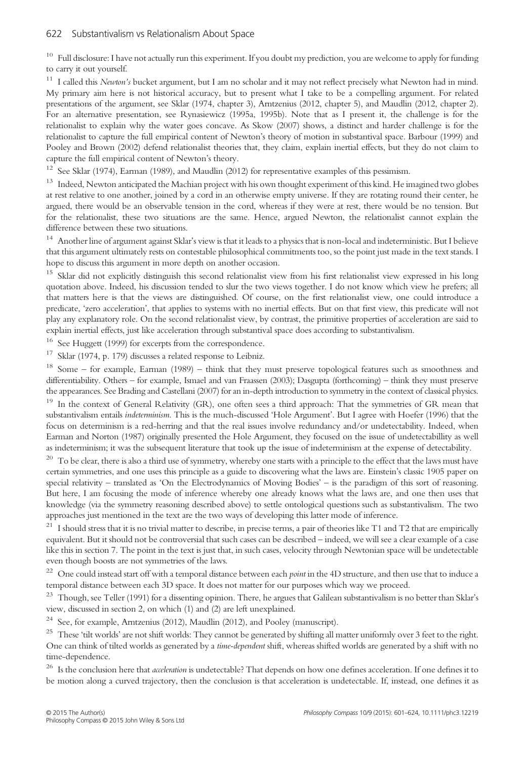$10$  Full disclosure: I have not actually run this experiment. If you doubt my prediction, you are welcome to apply for funding to carry it out yourself.

<sup>11</sup> I called this Newton's bucket argument, but I am no scholar and it may not reflect precisely what Newton had in mind. My primary aim here is not historical accuracy, but to present what I take to be a compelling argument. For related presentations of the argument, see Sklar (1974, chapter 3), Arntzenius (2012, chapter 5), and Maudlin (2012, chapter 2). For an alternative presentation, see Rynasiewicz (1995a, 1995b). Note that as I present it, the challenge is for the relationalist to explain why the water goes concave. As Skow (2007) shows, a distinct and harder challenge is for the relationalist to capture the full empirical content of Newton's theory of motion in substantival space. Barbour (1999) and Pooley and Brown (2002) defend relationalist theories that, they claim, explain inertial effects, but they do not claim to capture the full empirical content of Newton's theory.

<sup>12</sup> See Sklar (1974), Earman (1989), and Maudlin (2012) for representative examples of this pessimism.

<sup>13</sup> Indeed, Newton anticipated the Machian project with his own thought experiment of this kind. He imagined two globes at rest relative to one another, joined by a cord in an otherwise empty universe. If they are rotating round their center, he argued, there would be an observable tension in the cord, whereas if they were at rest, there would be no tension. But for the relationalist, these two situations are the same. Hence, argued Newton, the relationalist cannot explain the difference between these two situations.

<sup>14</sup> Another line of argument against Sklar's view is that it leads to a physics that is non-local and indeterministic. But I believe that this argument ultimately rests on contestable philosophical commitments too, so the point just made in the text stands. I hope to discuss this argument in more depth on another occasion.

<sup>15</sup> Sklar did not explicitly distinguish this second relationalist view from his first relationalist view expressed in his long quotation above. Indeed, his discussion tended to slur the two views together. I do not know which view he prefers; all that matters here is that the views are distinguished. Of course, on the first relationalist view, one could introduce a predicate, 'zero acceleration', that applies to systems with no inertial effects. But on that first view, this predicate will not play any explanatory role. On the second relationalist view, by contrast, the primitive properties of acceleration are said to explain inertial effects, just like acceleration through substantival space does according to substantivalism.

<sup>16</sup> See Huggett (1999) for excerpts from the correspondence.

 $17$  Sklar (1974, p. 179) discusses a related response to Leibniz.

<sup>18</sup> Some – for example, Earman (1989) – think that they must preserve topological features such as smoothness and differentiability. Others – for example, Ismael and van Fraassen (2003); Dasgupta (forthcoming) – think they must preserve the appearances. See Brading and Castellani (2007) for an in-depth introduction to symmetry in the context of classical physics.

<sup>19</sup> In the context of General Relativity (GR), one often sees a third approach: That the symmetries of GR mean that substantivalism entails indeterminism. This is the much-discussed 'Hole Argument'. But I agree with Hoefer (1996) that the focus on determinism is a red-herring and that the real issues involve redundancy and/or undetectability. Indeed, when Earman and Norton (1987) originally presented the Hole Argument, they focused on the issue of undetectabillity as well as indeterminism; it was the subsequent literature that took up the issue of indeterminism at the expense of detectability.

<sup>20</sup> To be clear, there is also a third use of symmetry, whereby one starts with a principle to the effect that the laws must have certain symmetries, and one uses this principle as a guide to discovering what the laws are. Einstein's classic 1905 paper on special relativity – translated as 'On the Electrodynamics of Moving Bodies' – is the paradigm of this sort of reasoning. But here, I am focusing the mode of inference whereby one already knows what the laws are, and one then uses that knowledge (via the symmetry reasoning described above) to settle ontological questions such as substantivalism. The two approaches just mentioned in the text are the two ways of developing this latter mode of inference.

 $21$  I should stress that it is no trivial matter to describe, in precise terms, a pair of theories like T1 and T2 that are empirically equivalent. But it should not be controversial that such cases can be described – indeed, we will see a clear example of a case like this in section 7. The point in the text is just that, in such cases, velocity through Newtonian space will be undetectable even though boosts are not symmetries of the laws.

<sup>22</sup> One could instead start off with a temporal distance between each *point* in the 4D structure, and then use that to induce a temporal distance between each 3D space. It does not matter for our purposes which way we proceed.

<sup>23</sup> Though, see Teller (1991) for a dissenting opinion. There, he argues that Galilean substantivalism is no better than Sklar's view, discussed in section 2, on which (1) and (2) are left unexplained.

<sup>24</sup> See, for example, Arntzenius (2012), Maudlin (2012), and Pooley (manuscript).

<sup>25</sup> These 'tilt worlds' are not shift worlds: They cannot be generated by shifting all matter uniformly over 3 feet to the right. One can think of tilted worlds as generated by a time-dependent shift, whereas shifted worlds are generated by a shift with no time-dependence.

<sup>26</sup> Is the conclusion here that *acceleration* is undetectable? That depends on how one defines acceleration. If one defines it to be motion along a curved trajectory, then the conclusion is that acceleration is undetectable. If, instead, one defines it as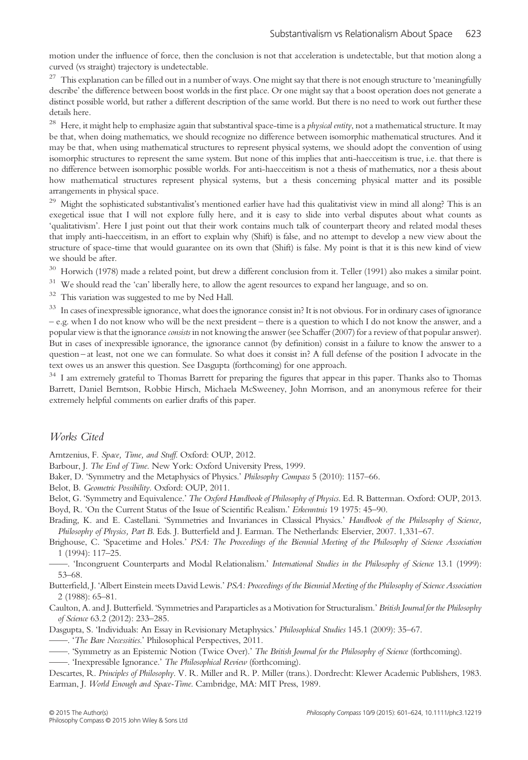motion under the influence of force, then the conclusion is not that acceleration is undetectable, but that motion along a curved (vs straight) trajectory is undetectable.

<sup>27</sup> This explanation can be filled out in a number of ways. One might say that there is not enough structure to 'meaningfully describe' the difference between boost worlds in the first place. Or one might say that a boost operation does not generate a distinct possible world, but rather a different description of the same world. But there is no need to work out further these details here.

 $^{28}$  Here, it might help to emphasize again that substantival space-time is a *physical entity*, not a mathematical structure. It may be that, when doing mathematics, we should recognize no difference between isomorphic mathematical structures. And it may be that, when using mathematical structures to represent physical systems, we should adopt the convention of using isomorphic structures to represent the same system. But none of this implies that anti-haecceitism is true, i.e. that there is no difference between isomorphic possible worlds. For anti-haecceitism is not a thesis of mathematics, nor a thesis about how mathematical structures represent physical systems, but a thesis concerning physical matter and its possible arrangements in physical space.

<sup>29</sup> Might the sophisticated substantivalist's mentioned earlier have had this qualitativist view in mind all along? This is an exegetical issue that I will not explore fully here, and it is easy to slide into verbal disputes about what counts as 'qualitativism'. Here I just point out that their work contains much talk of counterpart theory and related modal theses that imply anti-haecceitism, in an effort to explain why (Shift) is false, and no attempt to develop a new view about the structure of space-time that would guarantee on its own that (Shift) is false. My point is that it is this new kind of view we should be after.

 $30$  Horwich (1978) made a related point, but drew a different conclusion from it. Teller (1991) also makes a similar point.

<sup>31</sup> We should read the 'can' liberally here, to allow the agent resources to expand her language, and so on.

<sup>32</sup> This variation was suggested to me by Ned Hall.

<sup>33</sup> In cases of inexpressible ignorance, what does the ignorance consist in? It is not obvious. For in ordinary cases of ignorance – e.g. when I do not know who will be the next president – there is a question to which I do not know the answer, and a popular view is that the ignorance consists in not knowing the answer (see Schaffer (2007) for a review of that popular answer). But in cases of inexpressible ignorance, the ignorance cannot (by definition) consist in a failure to know the answer to a question – at least, not one we can formulate. So what does it consist in? A full defense of the position I advocate in the text owes us an answer this question. See Dasgupta (forthcoming) for one approach.

<sup>34</sup> I am extremely grateful to Thomas Barrett for preparing the figures that appear in this paper. Thanks also to Thomas Barrett, Daniel Berntson, Robbie Hirsch, Michaela McSweeney, John Morrison, and an anonymous referee for their extremely helpful comments on earlier drafts of this paper.

## Works Cited

Arntzenius, F. Space, Time, and Stuff. Oxford: OUP, 2012.

Barbour, J. The End of Time. New York: Oxford University Press, 1999.

Baker, D. 'Symmetry and the Metaphysics of Physics.' Philosophy Compass 5 (2010): 1157–66.

Belot, B. Geometric Possibility. Oxford: OUP, 2011.

Belot, G. 'Symmetry and Equivalence.' The Oxford Handbook of Philosophy of Physics. Ed. R Batterman. Oxford: OUP, 2013. Boyd, R. 'On the Current Status of the Issue of Scientific Realism.' Erkenntnis 19 1975: 45–90.

Brading, K. and E. Castellani. 'Symmetries and Invariances in Classical Physics.' Handbook of the Philosophy of Science, Philosophy of Physics, Part B. Eds. J. Butterfield and J. Earman. The Netherlands: Elservier, 2007. 1,331–67.

Brighouse, C. 'Spacetime and Holes.' PSA: The Proceedings of the Biennial Meeting of the Philosophy of Science Association 1 (1994): 117–25.

——. 'Incongruent Counterparts and Modal Relationalism.' International Studies in the Philosophy of Science 13.1 (1999): 53–68.

Butterfield, J. 'Albert Einstein meets David Lewis.' PSA: Proceedings of the Biennial Meeting of the Philosophy of Science Association 2 (1988): 65–81.

Caulton, A. and J. Butterfield. 'Symmetries and Paraparticles as a Motivation for Structuralism.' British Journal for the Philosophy of Science 63.2 (2012): 233–285.

Dasgupta, S. 'Individuals: An Essay in Revisionary Metaphysics.' Philosophical Studies 145.1 (2009): 35–67.

——. 'The Bare Necessities.' Philosophical Perspectives, 2011.

—. 'Symmetry as an Epistemic Notion (Twice Over).' The British Journal for the Philosophy of Science (forthcoming).

——. 'Inexpressible Ignorance.' The Philosophical Review (forthcoming).

Descartes, R. Principles of Philosophy. V. R. Miller and R. P. Miller (trans.). Dordrecht: Klewer Academic Publishers, 1983. Earman, J. World Enough and Space-Time. Cambridge, MA: MIT Press, 1989.